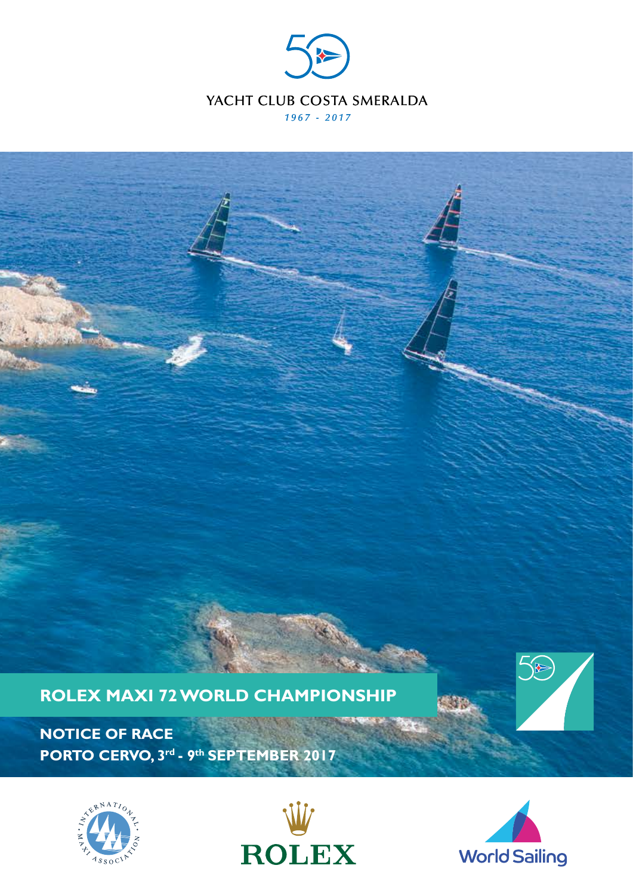



**NOTICE OF RACE PORTO CERVO, 3rd - 9th SEPTEMBER 2017** 







 $\bigotimes$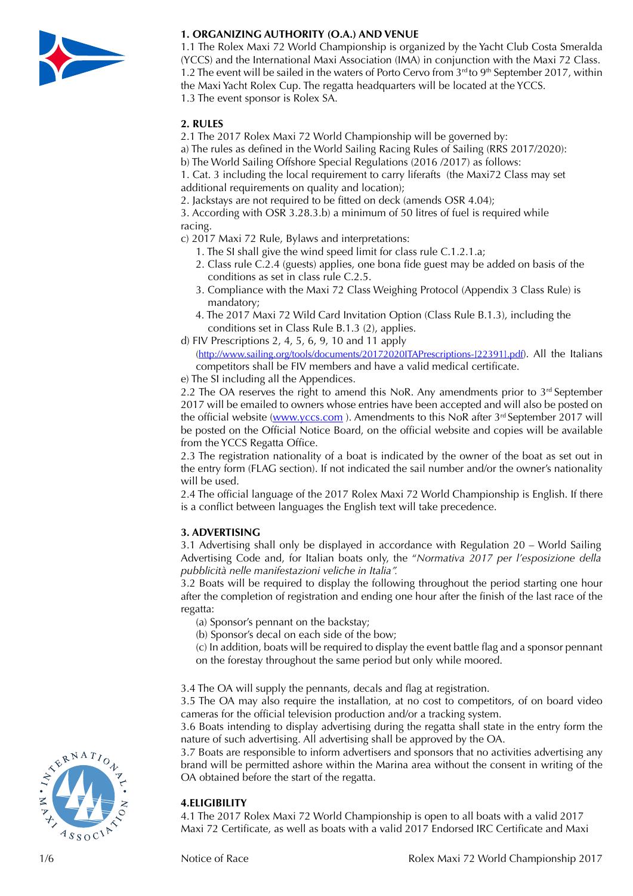

# **1. ORGANIZING AUTHORITY (O.A.) AND VENUE**

1.1 The Rolex Maxi 72 World Championship is organized by the Yacht Club Costa Smeralda (YCCS) and the International Maxi Association (IMA) in conjunction with the Maxi 72 Class. 1.2 The event will be sailed in the waters of Porto Cervo from  $3<sup>rd</sup>$  to 9<sup>th</sup> September 2017, within the Maxi Yacht Rolex Cup. The regatta headquarters will be located at the YCCS. 1.3 The event sponsor is Rolex SA.

### **2. RULES**

2.1 The 2017 Rolex Maxi 72 World Championship will be governed by:

a) The rules as defined in the World Sailing Racing Rules of Sailing (RRS 2017/2020):

b) The World Sailing Offshore Special Regulations (2016 /2017) as follows:

1. Cat. 3 including the local requirement to carry liferafts (the Maxi72 Class may set additional requirements on quality and location);

2. Jackstays are not required to be fitted on deck (amends OSR 4.04);

3. According with OSR 3.28.3.b) a minimum of 50 litres of fuel is required while racing.

- c) 2017 Maxi 72 Rule, Bylaws and interpretations:
	- 1. The SI shall give the wind speed limit for class rule C.1.2.1.a;
	- 2. Class rule C.2.4 (guests) applies, one bona fide guest may be added on basis of the conditions as set in class rule C.2.5.
	- 3. Compliance with the Maxi 72 Class Weighing Protocol (Appendix 3 Class Rule) is mandatory;
	- 4. The 2017 Maxi 72 Wild Card Invitation Option (Class Rule B.1.3), including the conditions set in Class Rule B.1.3 (2), applies.
- d) FIV Prescriptions 2, 4, 5, 6, 9, 10 and 11 apply

([http://www.sailing.org/tools/documents/20172020ITAPrescriptions-\[22391\].pdf](http://www.sailing.org/tools/documents/20172020ITAPrescriptions-%5b22391%5d.pdf)). All the Italians competitors shall be FIV members and have a valid medical certificate.

e) The SI including all the Appendices.

2.2 The OA reserves the right to amend this NoR. Any amendments prior to  $3<sup>rd</sup>$  September 2017 will be emailed to owners whose entries have been accepted and will also be posted on the official website (www.yccs.com). Amendments to this NoR after 3<sup>rd</sup> September 2017 will be posted on the Official Notice Board, on the official website and copies will be available from the YCCS Regatta Office.

2.3 The registration nationality of a boat is indicated by the owner of the boat as set out in the entry form (FLAG section). If not indicated the sail number and/or the owner's nationality will be used.

2.4 The official language of the 2017 Rolex Maxi 72 World Championship is English. If there is a conflict between languages the English text will take precedence.

## **3. ADVERTISING**

3.1 Advertising shall only be displayed in accordance with Regulation 20 – World Sailing Advertising Code and, for Italian boats only, the "*Normativa 2017 per l'esposizione della pubblicità nelle manifestazioni veliche in Italia".*

3.2 Boats will be required to display the following throughout the period starting one hour after the completion of registration and ending one hour after the finish of the last race of the regatta:

- (a) Sponsor's pennant on the backstay;
- (b) Sponsor's decal on each side of the bow;
- (c) In addition, boats will be required to display the event battle flag and a sponsor pennant on the forestay throughout the same period but only while moored.
- 3.4 The OA will supply the pennants, decals and flag at registration.

3.5 The OA may also require the installation, at no cost to competitors, of on board video cameras for the official television production and/or a tracking system.

3.6 Boats intending to display advertising during the regatta shall state in the entry form the nature of such advertising. All advertising shall be approved by the OA.

3.7 Boats are responsible to inform advertisers and sponsors that no activities advertising any brand will be permitted ashore within the Marina area without the consent in writing of the OA obtained before the start of the regatta.

## **4.ELIGIBILITY**

4.1 The 2017 Rolex Maxi 72 World Championship is open to all boats with a valid 2017 Maxi 72 Certificate, as well as boats with a valid 2017 Endorsed IRC Certificate and Maxi

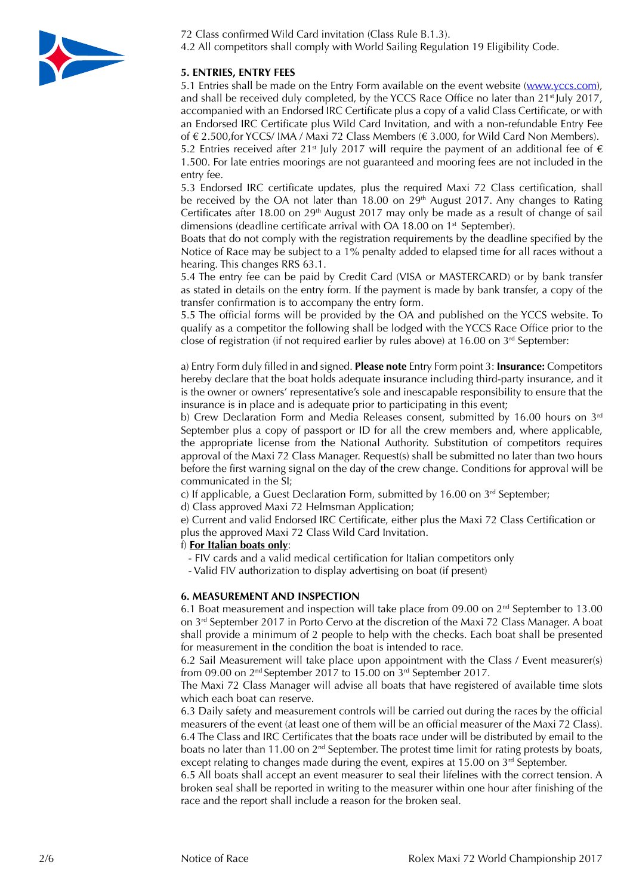

72 Class confirmed Wild Card invitation (Class Rule B.1.3). 4.2 All competitors shall comply with World Sailing Regulation 19 Eligibility Code.

# **5. ENTRIES, ENTRY FEES**

5.1 Entries shall be made on the Entry Form available on the event website [\(www.yccs.com](http://www.yccs.com)), and shall be received duly completed, by the YCCS Race Office no later than 21<sup>st</sup> July 2017, accompanied with an Endorsed IRC Certificate plus a copy of a valid Class Certificate, or with an Endorsed IRC Certificate plus Wild Card Invitation, and with a non-refundable Entry Fee of € 2.500,for YCCS/ IMA / Maxi 72 Class Members (€ 3.000, for Wild Card Non Members).

5.2 Entries received after 21<sup>st</sup> July 2017 will require the payment of an additional fee of  $\epsilon$ 1.500. For late entries moorings are not guaranteed and mooring fees are not included in the entry fee.

5.3 Endorsed IRC certificate updates, plus the required Maxi 72 Class certification, shall be received by the OA not later than 18.00 on  $29<sup>th</sup>$  August 2017. Any changes to Rating Certificates after 18.00 on 29<sup>th</sup> August 2017 may only be made as a result of change of sail dimensions (deadline certificate arrival with OA 18.00 on 1<sup>st</sup> September).

Boats that do not comply with the registration requirements by the deadline specified by the Notice of Race may be subject to a 1% penalty added to elapsed time for all races without a hearing. This changes RRS 63.1.

5.4 The entry fee can be paid by Credit Card (VISA or MASTERCARD) or by bank transfer as stated in details on the entry form. If the payment is made by bank transfer, a copy of the transfer confirmation is to accompany the entry form.

5.5 The official forms will be provided by the OA and published on the YCCS website. To qualify as a competitor the following shall be lodged with the YCCS Race Office prior to the close of registration (if not required earlier by rules above) at 16.00 on  $3<sup>rd</sup>$  September:

a) Entry Form duly filled in and signed. **Please note** Entry Form point 3: **Insurance:** Competitors hereby declare that the boat holds adequate insurance including third-party insurance, and it is the owner or owners' representative's sole and inescapable responsibility to ensure that the insurance is in place and is adequate prior to participating in this event;

b) Crew Declaration Form and Media Releases consent, submitted by 16.00 hours on 3<sup>rd</sup> September plus a copy of passport or ID for all the crew members and, where applicable, the appropriate license from the National Authority. Substitution of competitors requires approval of the Maxi 72 Class Manager. Request(s) shall be submitted no later than two hours before the first warning signal on the day of the crew change. Conditions for approval will be communicated in the SI;

c) If applicable, a Guest Declaration Form, submitted by 16.00 on  $3<sup>rd</sup>$  September;

d) Class approved Maxi 72 Helmsman Application;

e) Current and valid Endorsed IRC Certificate, either plus the Maxi 72 Class Certification or plus the approved Maxi 72 Class Wild Card Invitation.

#### f) **For Italian boats only**:

- FIV cards and a valid medical certification for Italian competitors only
- Valid FIV authorization to display advertising on boat (if present)

#### **6. MEASUREMENT AND INSPECTION**

6.1 Boat measurement and inspection will take place from 09.00 on  $2<sup>nd</sup>$  September to 13.00 on 3rd September 2017 in Porto Cervo at the discretion of the Maxi 72 Class Manager. A boat shall provide a minimum of 2 people to help with the checks. Each boat shall be presented for measurement in the condition the boat is intended to race.

6.2 Sail Measurement will take place upon appointment with the Class / Event measurer(s) from 09.00 on 2nd September 2017 to 15.00 on 3rd September 2017.

The Maxi 72 Class Manager will advise all boats that have registered of available time slots which each boat can reserve.

6.3 Daily safety and measurement controls will be carried out during the races by the official measurers of the event (at least one of them will be an official measurer of the Maxi 72 Class). 6.4 The Class and IRC Certificates that the boats race under will be distributed by email to the boats no later than 11.00 on  $2<sup>nd</sup>$  September. The protest time limit for rating protests by boats, except relating to changes made during the event, expires at 15.00 on  $3<sup>rd</sup>$  September.

6.5 All boats shall accept an event measurer to seal their lifelines with the correct tension. A broken seal shall be reported in writing to the measurer within one hour after finishing of the race and the report shall include a reason for the broken seal.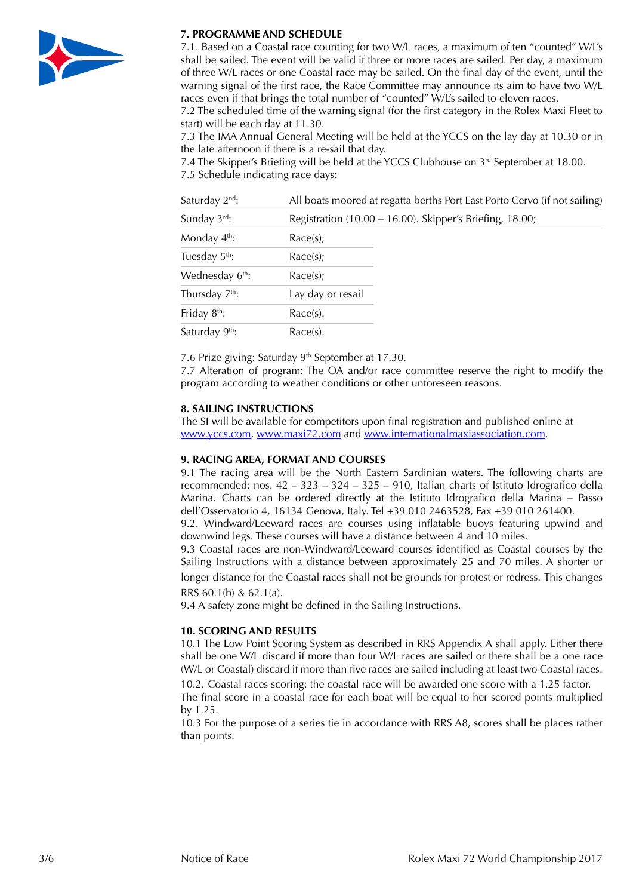

### **7. PROGRAMME AND SCHEDULE**

7.1. Based on a Coastal race counting for two W/L races, a maximum of ten "counted" W/L's shall be sailed. The event will be valid if three or more races are sailed. Per day, a maximum of three W/L races or one Coastal race may be sailed. On the final day of the event, until the warning signal of the first race, the Race Committee may announce its aim to have two W/L races even if that brings the total number of "counted" W/L's sailed to eleven races.

7.2 The scheduled time of the warning signal (for the first category in the Rolex Maxi Fleet to start) will be each day at 11.30.

7.3 The IMA Annual General Meeting will be held at the YCCS on the lay day at 10.30 or in the late afternoon if there is a re-sail that day.

7.4 The Skipper's Briefing will be held at the YCCS Clubhouse on 3<sup>rd</sup> September at 18.00.

7.5 Schedule indicating race days:

| Sunday $3^{\text{rd}}$ :<br>Registration (10.00 - 16.00). Skipper's Briefing, 18.00;<br>Monday $4th$ :<br>Race(s);<br>Tuesday $5^{\text{th}}$ :<br>Race(s);<br>Wednesday 6 <sup>th</sup> :<br>Race(s);<br>Thursday $7th$ :<br>Lay day or resail | All boats moored at regatta berths Port East Porto Cervo (if not sailing) |
|-------------------------------------------------------------------------------------------------------------------------------------------------------------------------------------------------------------------------------------------------|---------------------------------------------------------------------------|
|                                                                                                                                                                                                                                                 |                                                                           |
|                                                                                                                                                                                                                                                 |                                                                           |
|                                                                                                                                                                                                                                                 |                                                                           |
|                                                                                                                                                                                                                                                 |                                                                           |
|                                                                                                                                                                                                                                                 |                                                                           |
| Friday $8th$ :<br>Race(s).                                                                                                                                                                                                                      |                                                                           |
| Saturday 9 <sup>th</sup> :<br>Race(s).                                                                                                                                                                                                          |                                                                           |

7.6 Prize giving: Saturday 9<sup>th</sup> September at 17.30.

7.7 Alteration of program: The OA and/or race committee reserve the right to modify the program according to weather conditions or other unforeseen reasons.

# **8. SAILING INSTRUCTIONS**

The SI will be available for competitors upon final registration and published online at [www.yccs.com](http://www.yccs.com), [www.maxi72.com](http://www.maxi72.com) and [www.internationalmaxiassociation.com.](http://www.internationalmaxiassociation.com)

## **9. RACING AREA, FORMAT AND COURSES**

9.1 The racing area will be the North Eastern Sardinian waters. The following charts are recommended: nos. 42 – 323 – 324 – 325 – 910, Italian charts of Istituto Idrografico della Marina. Charts can be ordered directly at the Istituto Idrografico della Marina – Passo dell'Osservatorio 4, 16134 Genova, Italy. Tel +39 010 2463528, Fax +39 010 261400. 9.2. Windward/Leeward races are courses using inflatable buoys featuring upwind and

downwind legs. These courses will have a distance between 4 and 10 miles.

9.3 Coastal races are non-Windward/Leeward courses identified as Coastal courses by the Sailing Instructions with a distance between approximately 25 and 70 miles. A shorter or longer distance for the Coastal races shall not be grounds for protest or redress. This changes RRS 60.1(b) & 62.1(a).

9.4 A safety zone might be defined in the Sailing Instructions.

## **10. SCORING AND RESULTS**

10.1 The Low Point Scoring System as described in RRS Appendix A shall apply. Either there shall be one W/L discard if more than four W/L races are sailed or there shall be a one race (W/L or Coastal) discard if more than five races are sailed including at least two Coastal races.

10.2. Coastal races scoring: the coastal race will be awarded one score with a 1.25 factor. The final score in a coastal race for each boat will be equal to her scored points multiplied

by 1.25. 10.3 For the purpose of a series tie in accordance with RRS A8, scores shall be places rather than points.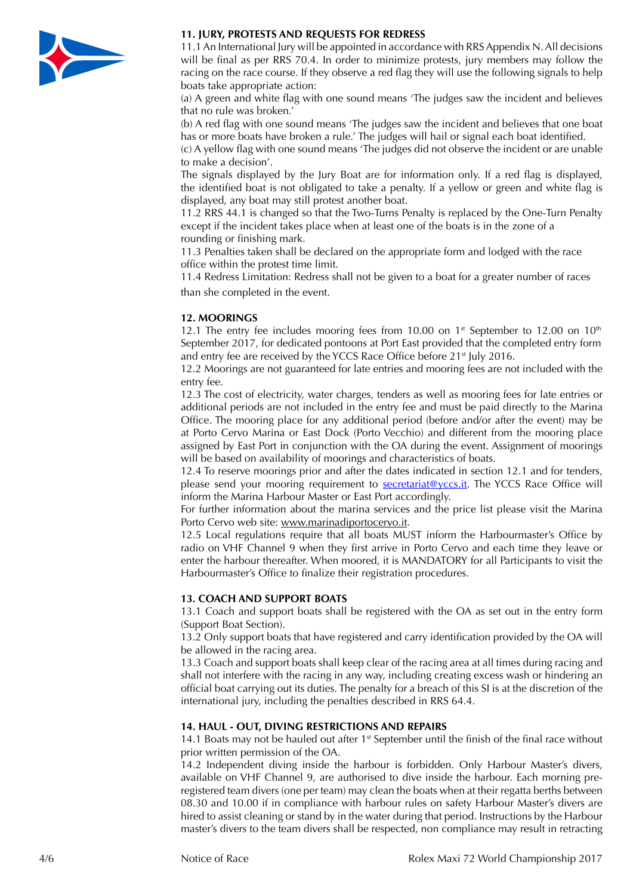

## **11. JURY, PROTESTS AND REQUESTS FOR REDRESS**

11.1 An International Jury will be appointed in accordance with RRS Appendix N. All decisions will be final as per RRS 70.4. In order to minimize protests, jury members may follow the racing on the race course. If they observe a red flag they will use the following signals to help boats take appropriate action:

(a) A green and white flag with one sound means 'The judges saw the incident and believes that no rule was broken.'

(b) A red flag with one sound means 'The judges saw the incident and believes that one boat has or more boats have broken a rule.' The judges will hail or signal each boat identified.

(c) A yellow flag with one sound means 'The judges did not observe the incident or are unable to make a decision'.

The signals displayed by the Jury Boat are for information only. If a red flag is displayed, the identified boat is not obligated to take a penalty. If a yellow or green and white flag is displayed, any boat may still protest another boat.

11.2 RRS 44.1 is changed so that the Two-Turns Penalty is replaced by the One-Turn Penalty except if the incident takes place when at least one of the boats is in the zone of a rounding or finishing mark.

11.3 Penalties taken shall be declared on the appropriate form and lodged with the race office within the protest time limit.

11.4 Redress Limitation: Redress shall not be given to a boat for a greater number of races than she completed in the event.

## **12. MOORINGS**

12.1 The entry fee includes mooring fees from 10.00 on  $1<sup>st</sup>$  September to 12.00 on  $10<sup>th</sup>$ September 2017, for dedicated pontoons at Port East provided that the completed entry form and entry fee are received by the YCCS Race Office before 21<sup>st</sup> July 2016.

12.2 Moorings are not guaranteed for late entries and mooring fees are not included with the entry fee.

12.3 The cost of electricity, water charges, tenders as well as mooring fees for late entries or additional periods are not included in the entry fee and must be paid directly to the Marina Office. The mooring place for any additional period (before and/or after the event) may be at Porto Cervo Marina or East Dock (Porto Vecchio) and different from the mooring place assigned by East Port in conjunction with the OA during the event. Assignment of moorings will be based on availability of moorings and characteristics of boats.

12.4 To reserve moorings prior and after the dates indicated in section 12.1 and for tenders, please send your mooring requirement to [secretariat@yccs.it](mailto:secretariat@yccs.it). The YCCS Race Office will inform the Marina Harbour Master or East Port accordingly.

For further information about the marina services and the price list please visit the Marina Porto Cervo web site: [www.marinadiportocervo.it](http://www.marinadiportocervo.it).

12.5 Local regulations require that all boats MUST inform the Harbourmaster's Office by radio on VHF Channel 9 when they first arrive in Porto Cervo and each time they leave or enter the harbour thereafter. When moored, it is MANDATORY for all Participants to visit the Harbourmaster's Office to finalize their registration procedures.

## **13. COACH AND SUPPORT BOATS**

13.1 Coach and support boats shall be registered with the OA as set out in the entry form (Support Boat Section).

13.2 Only support boats that have registered and carry identification provided by the OA will be allowed in the racing area.

13.3 Coach and support boats shall keep clear of the racing area at all times during racing and shall not interfere with the racing in any way, including creating excess wash or hindering an official boat carrying out its duties. The penalty for a breach of this SI is at the discretion of the international jury, including the penalties described in RRS 64.4.

#### **14. HAUL - OUT, DIVING RESTRICTIONS AND REPAIRS**

14.1 Boats may not be hauled out after  $1<sup>st</sup>$  September until the finish of the final race without prior written permission of the OA.

14.2 Independent diving inside the harbour is forbidden. Only Harbour Master's divers, available on VHF Channel 9, are authorised to dive inside the harbour. Each morning preregistered team divers (one per team) may clean the boats when at their regatta berths between 08.30 and 10.00 if in compliance with harbour rules on safety Harbour Master's divers are hired to assist cleaning or stand by in the water during that period. Instructions by the Harbour master's divers to the team divers shall be respected, non compliance may result in retracting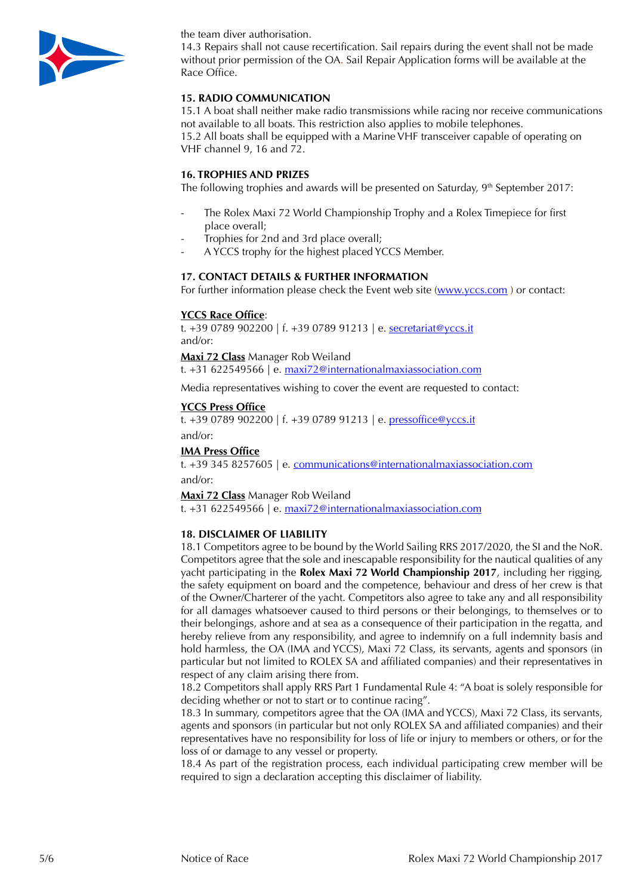

the team diver authorisation.

14.3 Repairs shall not cause recertification. Sail repairs during the event shall not be made without prior permission of the OA. Sail Repair Application forms will be available at the Race Office.

# **15. RADIO COMMUNICATION**

15.1 A boat shall neither make radio transmissions while racing nor receive communications not available to all boats. This restriction also applies to mobile telephones. 15.2 All boats shall be equipped with a Marine VHF transceiver capable of operating on VHF channel 9, 16 and 72.

### **16. TROPHIES AND PRIZES**

The following trophies and awards will be presented on Saturday,  $9<sup>th</sup>$  September 2017:

- The Rolex Maxi 72 World Championship Trophy and a Rolex Timepiece for first place overall;
- Trophies for 2nd and 3rd place overall;
- A YCCS trophy for the highest placed YCCS Member.

## **17. CONTACT DETAILS & FURTHER INFORMATION**

For further information please check the Event web site [\(www.yccs.com](http://www.yccs.com)) or contact:

### **YCCS Race Office**:

t. +39 0789 902200 | f. +39 0789 91213 | e. [secretariat@yccs.it](file:///Volumes/WD%20Elements/Clienti/Yacht%20Club/2017/Riviste/Urgenti/materiale/../AppData/Local/Microsoft/Windows/Temporary Internet Files/Content.Outlook/AppData/Local/Microsoft/Windows/Temporary Internet Files/Content.Outlook/PKD2Q3I2/secretariat@yccs.it) and/or:

**Maxi 72 Class** Manager Rob Weiland

t. +31 622549566 | e. [maxi72@internationalmaxiassociation.com](file:///Volumes/WD%20Elements/Clienti/Yacht%20Club/2017/Riviste/Urgenti/materiale/../AppData/Local/Microsoft/Windows/Temporary Internet Files/Content.Outlook/AppData/Local/Microsoft/Windows/Temporary Internet Files/Content.Outlook/PKD2Q3I2/maxi72@internationalmaxiassociation.com)

Media representatives wishing to cover the event are requested to contact:

#### **YCCS Press Office**

t. +39 0789 902200 | f. +39 0789 91213 | e. [pressoffice@yccs.it](mailto:pressoffice@yccs.it) and/or:

### **IMA Press Office**

t. +39 345 8257605 | e. [communications@internationalmaxiassociation.com](mailto:communications@internationalmaxiassociation.com) and/or:

**Maxi 72 Class** Manager Rob Weiland

t. +31 622549566 | e. [maxi72@internationalmaxiassociation.com](file:///Volumes/WD%20Elements/Clienti/Yacht%20Club/2017/Riviste/Urgenti/materiale/../AppData/Local/Microsoft/Windows/Temporary Internet Files/Content.Outlook/AppData/Local/Microsoft/Windows/Temporary Internet Files/Content.Outlook/PKD2Q3I2/maxi72@internationalmaxiassociation.com)

#### **18. DISCLAIMER OF LIABILITY**

18.1 Competitors agree to be bound by the World Sailing RRS 2017/2020, the SI and the NoR. Competitors agree that the sole and inescapable responsibility for the nautical qualities of any yacht participating in the **Rolex Maxi 72 World Championship 2017**, including her rigging, the safety equipment on board and the competence, behaviour and dress of her crew is that of the Owner/Charterer of the yacht. Competitors also agree to take any and all responsibility for all damages whatsoever caused to third persons or their belongings, to themselves or to their belongings, ashore and at sea as a consequence of their participation in the regatta, and hereby relieve from any responsibility, and agree to indemnify on a full indemnity basis and hold harmless, the OA (IMA and YCCS), Maxi 72 Class, its servants, agents and sponsors (in particular but not limited to ROLEX SA and affiliated companies) and their representatives in respect of any claim arising there from.

18.2 Competitors shall apply RRS Part 1 Fundamental Rule 4: "A boat is solely responsible for deciding whether or not to start or to continue racing".

18.3 In summary, competitors agree that the OA (IMA and YCCS), Maxi 72 Class, its servants, agents and sponsors (in particular but not only ROLEX SA and affiliated companies) and their representatives have no responsibility for loss of life or injury to members or others, or for the loss of or damage to any vessel or property.

18.4 As part of the registration process, each individual participating crew member will be required to sign a declaration accepting this disclaimer of liability.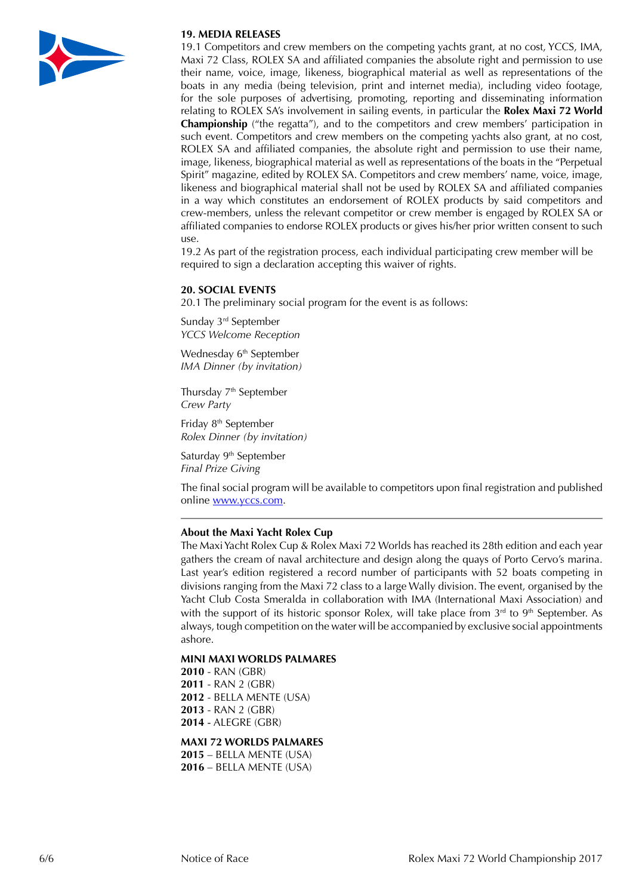

# **19. MEDIA RELEASES**

19.1 Competitors and crew members on the competing yachts grant, at no cost, YCCS, IMA, Maxi 72 Class, ROLEX SA and affiliated companies the absolute right and permission to use their name, voice, image, likeness, biographical material as well as representations of the boats in any media (being television, print and internet media), including video footage, for the sole purposes of advertising, promoting, reporting and disseminating information relating to ROLEX SA's involvement in sailing events, in particular the **Rolex Maxi 72 World Championship** ("the regatta"), and to the competitors and crew members' participation in such event. Competitors and crew members on the competing yachts also grant, at no cost, ROLEX SA and affiliated companies, the absolute right and permission to use their name, image, likeness, biographical material as well as representations of the boats in the "Perpetual Spirit" magazine, edited by ROLEX SA. Competitors and crew members' name, voice, image, likeness and biographical material shall not be used by ROLEX SA and affiliated companies in a way which constitutes an endorsement of ROLEX products by said competitors and crew-members, unless the relevant competitor or crew member is engaged by ROLEX SA or affiliated companies to endorse ROLEX products or gives his/her prior written consent to such use.

19.2 As part of the registration process, each individual participating crew member will be required to sign a declaration accepting this waiver of rights.

### **20. SOCIAL EVENTS**

20.1 The preliminary social program for the event is as follows:

Sunday 3rd September *YCCS Welcome Reception*

Wednesday 6<sup>th</sup> September *IMA Dinner (by invitation)*

Thursday 7<sup>th</sup> September *Crew Party*

Friday 8th September *Rolex Dinner (by invitation)*

Saturday 9<sup>th</sup> September *Final Prize Giving*

The final social program will be available to competitors upon final registration and published online [www.yccs.com](http://www.yccs.com).

#### **About the Maxi Yacht Rolex Cup**

The Maxi Yacht Rolex Cup & Rolex Maxi 72 Worlds has reached its 28th edition and each year gathers the cream of naval architecture and design along the quays of Porto Cervo's marina. Last year's edition registered a record number of participants with 52 boats competing in divisions ranging from the Maxi 72 class to a large Wally division. The event, organised by the Yacht Club Costa Smeralda in collaboration with IMA (International Maxi Association) and with the support of its historic sponsor Rolex, will take place from  $3<sup>rd</sup>$  to  $9<sup>th</sup>$  September. As always, tough competition on the water will be accompanied by exclusive social appointments ashore.

#### **MINI MAXI WORLDS PALMARES**

 - RAN (GBR) - RAN 2 (GBR) - BELLA MENTE (USA) - RAN 2 (GBR) - ALEGRE (GBR)

#### **MAXI 72 WORLDS PALMARES**

**2015** – BELLA MENTE (USA) **2016** – BELLA MENTE (USA)